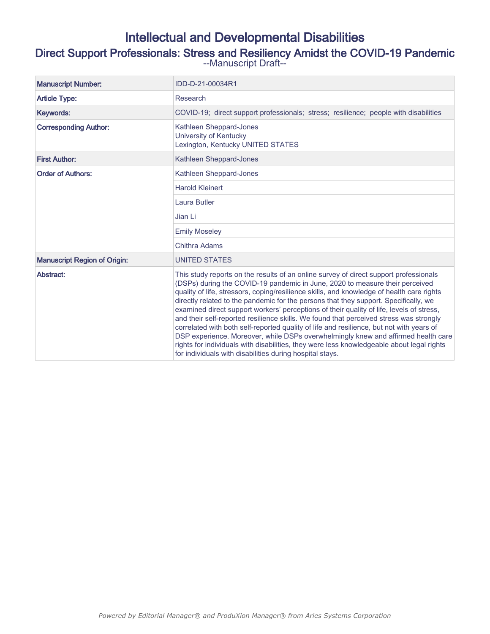## Intellectual and Developmental Disabilities

# Direct Support Professionals: Stress and Resiliency Amidst the COVID-19 Pandemic<br>--Manuscript Draft--

| <b>Manuscript Number:</b>           | IDD-D-21-00034R1                                                                                                                                                                                                                                                                                                                                                                                                                                                                                                                                                                                                                                                                                                                                                                                                                                                                           |  |  |  |
|-------------------------------------|--------------------------------------------------------------------------------------------------------------------------------------------------------------------------------------------------------------------------------------------------------------------------------------------------------------------------------------------------------------------------------------------------------------------------------------------------------------------------------------------------------------------------------------------------------------------------------------------------------------------------------------------------------------------------------------------------------------------------------------------------------------------------------------------------------------------------------------------------------------------------------------------|--|--|--|
| <b>Article Type:</b>                | Research                                                                                                                                                                                                                                                                                                                                                                                                                                                                                                                                                                                                                                                                                                                                                                                                                                                                                   |  |  |  |
| Keywords:                           | COVID-19; direct support professionals; stress; resilience; people with disabilities                                                                                                                                                                                                                                                                                                                                                                                                                                                                                                                                                                                                                                                                                                                                                                                                       |  |  |  |
| <b>Corresponding Author:</b>        | Kathleen Sheppard-Jones<br>University of Kentucky<br>Lexington, Kentucky UNITED STATES                                                                                                                                                                                                                                                                                                                                                                                                                                                                                                                                                                                                                                                                                                                                                                                                     |  |  |  |
| <b>First Author:</b>                | Kathleen Sheppard-Jones                                                                                                                                                                                                                                                                                                                                                                                                                                                                                                                                                                                                                                                                                                                                                                                                                                                                    |  |  |  |
| <b>Order of Authors:</b>            | Kathleen Sheppard-Jones                                                                                                                                                                                                                                                                                                                                                                                                                                                                                                                                                                                                                                                                                                                                                                                                                                                                    |  |  |  |
|                                     | <b>Harold Kleinert</b>                                                                                                                                                                                                                                                                                                                                                                                                                                                                                                                                                                                                                                                                                                                                                                                                                                                                     |  |  |  |
|                                     | Laura Butler                                                                                                                                                                                                                                                                                                                                                                                                                                                                                                                                                                                                                                                                                                                                                                                                                                                                               |  |  |  |
|                                     | Jian Li                                                                                                                                                                                                                                                                                                                                                                                                                                                                                                                                                                                                                                                                                                                                                                                                                                                                                    |  |  |  |
|                                     | <b>Emily Moseley</b>                                                                                                                                                                                                                                                                                                                                                                                                                                                                                                                                                                                                                                                                                                                                                                                                                                                                       |  |  |  |
|                                     | <b>Chithra Adams</b>                                                                                                                                                                                                                                                                                                                                                                                                                                                                                                                                                                                                                                                                                                                                                                                                                                                                       |  |  |  |
| <b>Manuscript Region of Origin:</b> | <b>UNITED STATES</b>                                                                                                                                                                                                                                                                                                                                                                                                                                                                                                                                                                                                                                                                                                                                                                                                                                                                       |  |  |  |
| Abstract:                           | This study reports on the results of an online survey of direct support professionals<br>(DSPs) during the COVID-19 pandemic in June, 2020 to measure their perceived<br>quality of life, stressors, coping/resilience skills, and knowledge of health care rights<br>directly related to the pandemic for the persons that they support. Specifically, we<br>examined direct support workers' perceptions of their quality of life, levels of stress,<br>and their self-reported resilience skills. We found that perceived stress was strongly<br>correlated with both self-reported quality of life and resilience, but not with years of<br>DSP experience. Moreover, while DSPs overwhelmingly knew and affirmed health care<br>rights for individuals with disabilities, they were less knowledgeable about legal rights<br>for individuals with disabilities during hospital stays. |  |  |  |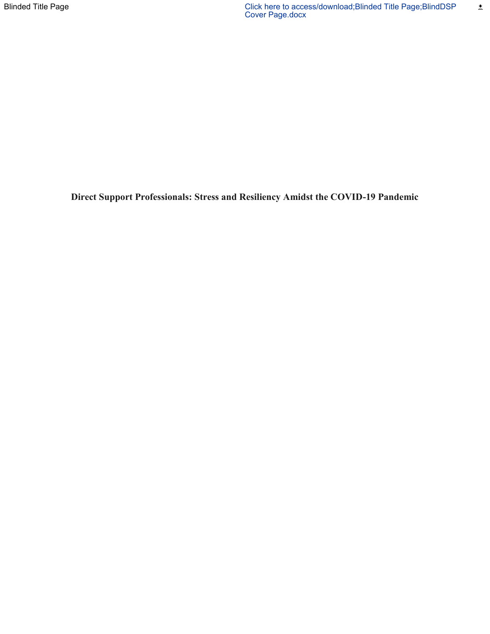**Direct Support Professionals: Stress and Resiliency Amidst the COVID-19 Pandemic**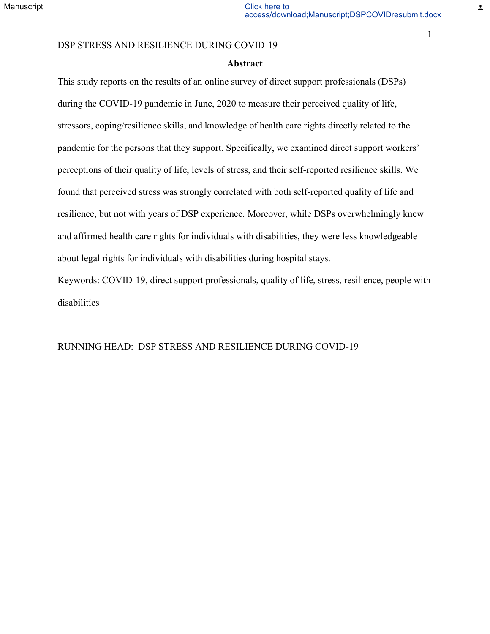#### **Abstract**

This study reports on the results of an online survey of direct support professionals (DSPs) during the COVID-19 pandemic in June, 2020 to measure their perceived quality of life, stressors, coping/resilience skills, and knowledge of health care rights directly related to the pandemic for the persons that they support. Specifically, we examined direct support workers' perceptions of their quality of life, levels of stress, and their self-reported resilience skills. We found that perceived stress was strongly correlated with both self-reported quality of life and resilience, but not with years of DSP experience. Moreover, while DSPs overwhelmingly knew and affirmed health care rights for individuals with disabilities, they were less knowledgeable about legal rights for individuals with disabilities during hospital stays.

Keywords: COVID-19, direct support professionals, quality of life, stress, resilience, people with disabilities

RUNNING HEAD: DSP STRESS AND RESILIENCE DURING COVID-19

1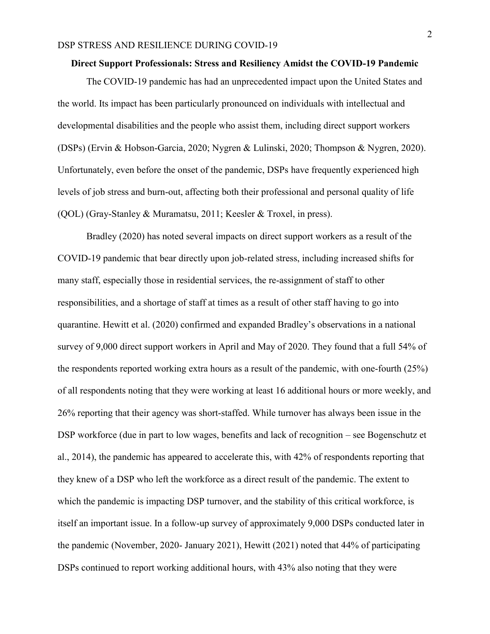#### **Direct Support Professionals: Stress and Resiliency Amidst the COVID-19 Pandemic**

The COVID-19 pandemic has had an unprecedented impact upon the United States and the world. Its impact has been particularly pronounced on individuals with intellectual and developmental disabilities and the people who assist them, including direct support workers (DSPs) (Ervin & Hobson-Garcia, 2020; Nygren & Lulinski, 2020; Thompson & Nygren, 2020). Unfortunately, even before the onset of the pandemic, DSPs have frequently experienced high levels of job stress and burn-out, affecting both their professional and personal quality of life (QOL) (Gray-Stanley & Muramatsu, 2011; Keesler & Troxel, in press).

Bradley (2020) has noted several impacts on direct support workers as a result of the COVID-19 pandemic that bear directly upon job-related stress, including increased shifts for many staff, especially those in residential services, the re-assignment of staff to other responsibilities, and a shortage of staff at times as a result of other staff having to go into quarantine. Hewitt et al. (2020) confirmed and expanded Bradley's observations in a national survey of 9,000 direct support workers in April and May of 2020. They found that a full 54% of the respondents reported working extra hours as a result of the pandemic, with one-fourth (25%) of all respondents noting that they were working at least 16 additional hours or more weekly, and 26% reporting that their agency was short-staffed. While turnover has always been issue in the DSP workforce (due in part to low wages, benefits and lack of recognition – see Bogenschutz et al., 2014), the pandemic has appeared to accelerate this, with 42% of respondents reporting that they knew of a DSP who left the workforce as a direct result of the pandemic. The extent to which the pandemic is impacting DSP turnover, and the stability of this critical workforce, is itself an important issue. In a follow-up survey of approximately 9,000 DSPs conducted later in the pandemic (November, 2020- January 2021), Hewitt (2021) noted that 44% of participating DSPs continued to report working additional hours, with 43% also noting that they were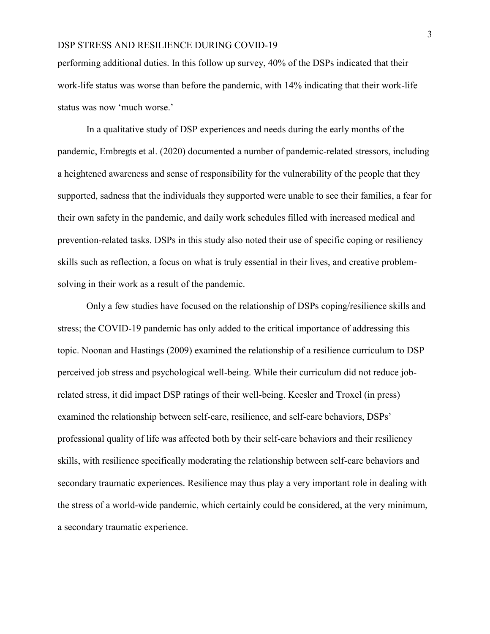performing additional duties. In this follow up survey, 40% of the DSPs indicated that their work-life status was worse than before the pandemic, with 14% indicating that their work-life status was now 'much worse.'

In a qualitative study of DSP experiences and needs during the early months of the pandemic, Embregts et al. (2020) documented a number of pandemic-related stressors, including a heightened awareness and sense of responsibility for the vulnerability of the people that they supported, sadness that the individuals they supported were unable to see their families, a fear for their own safety in the pandemic, and daily work schedules filled with increased medical and prevention-related tasks. DSPs in this study also noted their use of specific coping or resiliency skills such as reflection, a focus on what is truly essential in their lives, and creative problemsolving in their work as a result of the pandemic.

Only a few studies have focused on the relationship of DSPs coping/resilience skills and stress; the COVID-19 pandemic has only added to the critical importance of addressing this topic. Noonan and Hastings (2009) examined the relationship of a resilience curriculum to DSP perceived job stress and psychological well-being. While their curriculum did not reduce jobrelated stress, it did impact DSP ratings of their well-being. Keesler and Troxel (in press) examined the relationship between self-care, resilience, and self-care behaviors, DSPs' professional quality of life was affected both by their self-care behaviors and their resiliency skills, with resilience specifically moderating the relationship between self-care behaviors and secondary traumatic experiences. Resilience may thus play a very important role in dealing with the stress of a world-wide pandemic, which certainly could be considered, at the very minimum, a secondary traumatic experience.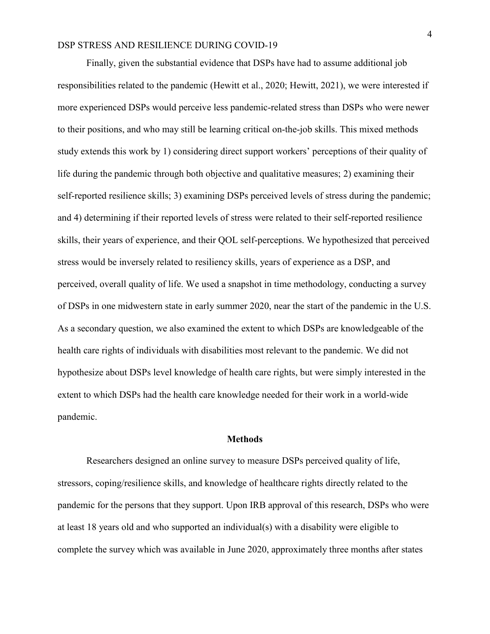Finally, given the substantial evidence that DSPs have had to assume additional job responsibilities related to the pandemic (Hewitt et al., 2020; Hewitt, 2021), we were interested if more experienced DSPs would perceive less pandemic-related stress than DSPs who were newer to their positions, and who may still be learning critical on-the-job skills. This mixed methods study extends this work by 1) considering direct support workers' perceptions of their quality of life during the pandemic through both objective and qualitative measures; 2) examining their self-reported resilience skills; 3) examining DSPs perceived levels of stress during the pandemic; and 4) determining if their reported levels of stress were related to their self-reported resilience skills, their years of experience, and their QOL self-perceptions. We hypothesized that perceived stress would be inversely related to resiliency skills, years of experience as a DSP, and perceived, overall quality of life. We used a snapshot in time methodology, conducting a survey of DSPs in one midwestern state in early summer 2020, near the start of the pandemic in the U.S. As a secondary question, we also examined the extent to which DSPs are knowledgeable of the health care rights of individuals with disabilities most relevant to the pandemic. We did not hypothesize about DSPs level knowledge of health care rights, but were simply interested in the extent to which DSPs had the health care knowledge needed for their work in a world-wide pandemic.

#### **Methods**

Researchers designed an online survey to measure DSPs perceived quality of life, stressors, coping/resilience skills, and knowledge of healthcare rights directly related to the pandemic for the persons that they support. Upon IRB approval of this research, DSPs who were at least 18 years old and who supported an individual(s) with a disability were eligible to complete the survey which was available in June 2020, approximately three months after states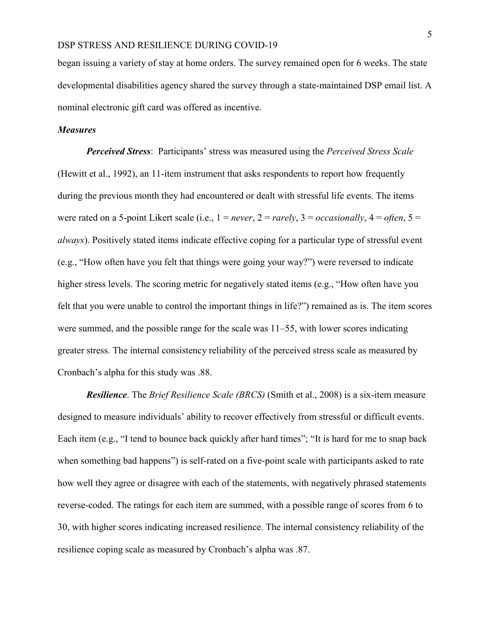began issuing a variety of stay at home orders. The survey remained open for 6 weeks. The state developmental disabilities agency shared the survey through a state-maintained DSP email list. A nominal electronic gift card was offered as incentive.

#### *Measures*

*Perceived Stress*: Participants' stress was measured using the *Perceived Stress Scale* (Hewitt et al., 1992), an 11-item instrument that asks respondents to report how frequently during the previous month they had encountered or dealt with stressful life events. The items were rated on a 5-point Likert scale (i.e.,  $1 = never$ ,  $2 = rarely$ ,  $3 = occasionally$ ,  $4 = often$ ,  $5 =$ *always*). Positively stated items indicate effective coping for a particular type of stressful event (e.g., "How often have you felt that things were going your way?") were reversed to indicate higher stress levels. The scoring metric for negatively stated items (e.g., "How often have you felt that you were unable to control the important things in life?") remained as is. The item scores were summed, and the possible range for the scale was 11–55, with lower scores indicating greater stress. The internal consistency reliability of the perceived stress scale as measured by Cronbach's alpha for this study was .88.

*Resilience*. The *Brief Resilience Scale (BRCS)* (Smith et al., 2008) is a six-item measure designed to measure individuals' ability to recover effectively from stressful or difficult events. Each item (e.g., "I tend to bounce back quickly after hard times"; "It is hard for me to snap back when something bad happens") is self-rated on a five-point scale with participants asked to rate how well they agree or disagree with each of the statements, with negatively phrased statements reverse-coded. The ratings for each item are summed, with a possible range of scores from 6 to 30, with higher scores indicating increased resilience. The internal consistency reliability of the resilience coping scale as measured by Cronbach's alpha was .87.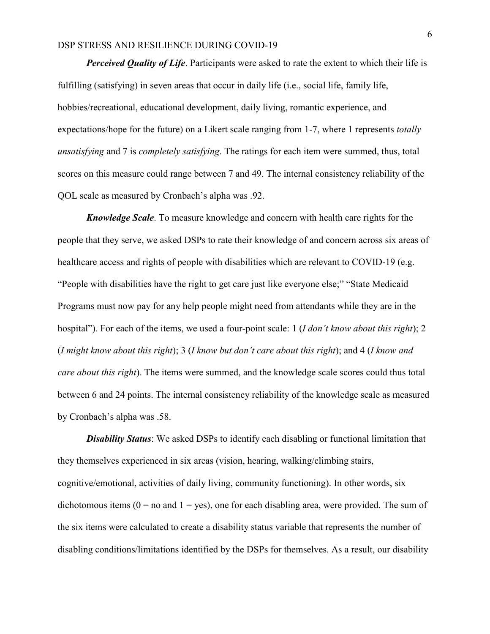*Perceived Quality of Life*. Participants were asked to rate the extent to which their life is fulfilling (satisfying) in seven areas that occur in daily life (i.e., social life, family life, hobbies/recreational, educational development, daily living, romantic experience, and expectations/hope for the future) on a Likert scale ranging from 1-7, where 1 represents *totally unsatisfying* and 7 is *completely satisfying*. The ratings for each item were summed, thus, total scores on this measure could range between 7 and 49. The internal consistency reliability of the QOL scale as measured by Cronbach's alpha was .92.

*Knowledge Scale*. To measure knowledge and concern with health care rights for the people that they serve, we asked DSPs to rate their knowledge of and concern across six areas of healthcare access and rights of people with disabilities which are relevant to COVID-19 (e.g. "People with disabilities have the right to get care just like everyone else;" "State Medicaid Programs must now pay for any help people might need from attendants while they are in the hospital"). For each of the items, we used a four-point scale: 1 (*I don't know about this right*); 2 (*I might know about this right*); 3 (*I know but don't care about this right*); and 4 (*I know and care about this right*). The items were summed, and the knowledge scale scores could thus total between 6 and 24 points. The internal consistency reliability of the knowledge scale as measured by Cronbach's alpha was .58.

*Disability Status*: We asked DSPs to identify each disabling or functional limitation that they themselves experienced in six areas (vision, hearing, walking/climbing stairs, cognitive/emotional, activities of daily living, community functioning). In other words, six dichotomous items ( $0 =$  no and  $1 =$  yes), one for each disabling area, were provided. The sum of the six items were calculated to create a disability status variable that represents the number of disabling conditions/limitations identified by the DSPs for themselves. As a result, our disability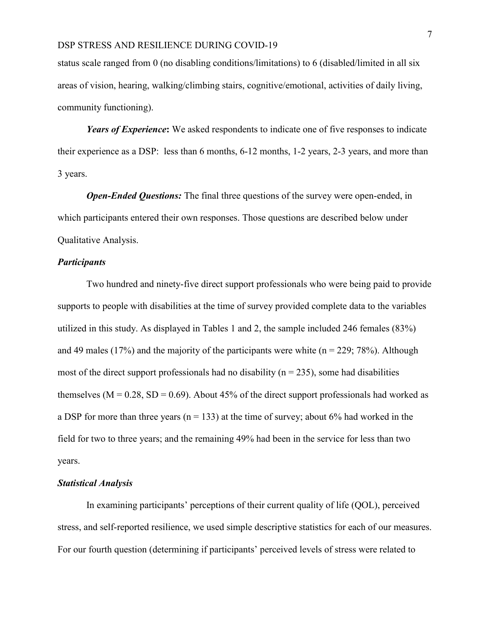status scale ranged from 0 (no disabling conditions/limitations) to 6 (disabled/limited in all six areas of vision, hearing, walking/climbing stairs, cognitive/emotional, activities of daily living, community functioning).

*Years of Experience***:** We asked respondents to indicate one of five responses to indicate their experience as a DSP: less than 6 months, 6-12 months, 1-2 years, 2-3 years, and more than 3 years.

*Open-Ended Questions:* The final three questions of the survey were open-ended, in which participants entered their own responses. Those questions are described below under Qualitative Analysis.

#### *Participants*

Two hundred and ninety-five direct support professionals who were being paid to provide supports to people with disabilities at the time of survey provided complete data to the variables utilized in this study. As displayed in Tables 1 and 2, the sample included 246 females (83%) and 49 males (17%) and the majority of the participants were white  $(n = 229, 78%)$ . Although most of the direct support professionals had no disability ( $n = 235$ ), some had disabilities themselves ( $M = 0.28$ ,  $SD = 0.69$ ). About 45% of the direct support professionals had worked as a DSP for more than three years ( $n = 133$ ) at the time of survey; about 6% had worked in the field for two to three years; and the remaining 49% had been in the service for less than two years.

#### *Statistical Analysis*

In examining participants' perceptions of their current quality of life (QOL), perceived stress, and self-reported resilience, we used simple descriptive statistics for each of our measures. For our fourth question (determining if participants' perceived levels of stress were related to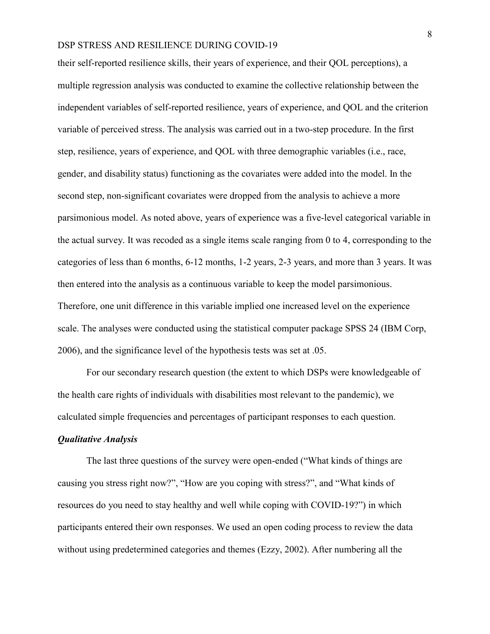their self-reported resilience skills, their years of experience, and their QOL perceptions), a multiple regression analysis was conducted to examine the collective relationship between the independent variables of self-reported resilience, years of experience, and QOL and the criterion variable of perceived stress. The analysis was carried out in a two-step procedure. In the first step, resilience, years of experience, and QOL with three demographic variables (i.e., race, gender, and disability status) functioning as the covariates were added into the model. In the second step, non-significant covariates were dropped from the analysis to achieve a more parsimonious model. As noted above, years of experience was a five-level categorical variable in the actual survey. It was recoded as a single items scale ranging from 0 to 4, corresponding to the categories of less than 6 months, 6-12 months, 1-2 years, 2-3 years, and more than 3 years. It was then entered into the analysis as a continuous variable to keep the model parsimonious. Therefore, one unit difference in this variable implied one increased level on the experience scale. The analyses were conducted using the statistical computer package SPSS 24 (IBM Corp, 2006), and the significance level of the hypothesis tests was set at .05.

For our secondary research question (the extent to which DSPs were knowledgeable of the health care rights of individuals with disabilities most relevant to the pandemic), we calculated simple frequencies and percentages of participant responses to each question.

#### *Qualitative Analysis*

The last three questions of the survey were open-ended ("What kinds of things are causing you stress right now?", "How are you coping with stress?", and "What kinds of resources do you need to stay healthy and well while coping with COVID-19?") in which participants entered their own responses. We used an open coding process to review the data without using predetermined categories and themes (Ezzy, 2002). After numbering all the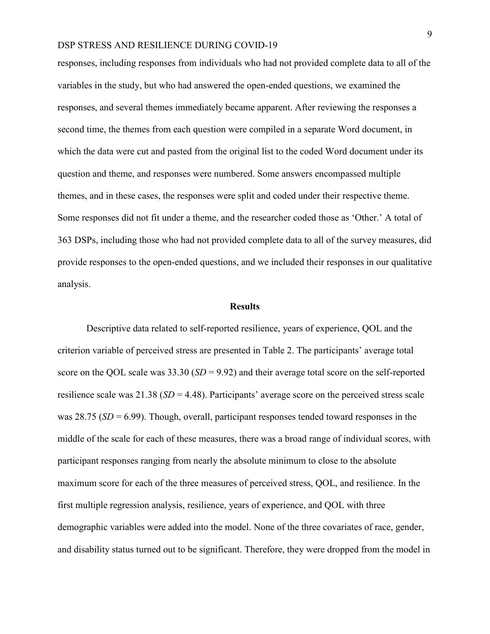responses, including responses from individuals who had not provided complete data to all of the variables in the study, but who had answered the open-ended questions, we examined the responses, and several themes immediately became apparent. After reviewing the responses a second time, the themes from each question were compiled in a separate Word document, in which the data were cut and pasted from the original list to the coded Word document under its question and theme, and responses were numbered. Some answers encompassed multiple themes, and in these cases, the responses were split and coded under their respective theme. Some responses did not fit under a theme, and the researcher coded those as 'Other.' A total of 363 DSPs, including those who had not provided complete data to all of the survey measures, did provide responses to the open-ended questions, and we included their responses in our qualitative analysis.

#### **Results**

Descriptive data related to self-reported resilience, years of experience, QOL and the criterion variable of perceived stress are presented in Table 2. The participants' average total score on the QOL scale was 33.30 (*SD* = 9.92) and their average total score on the self-reported resilience scale was 21.38 (*SD* = 4.48). Participants' average score on the perceived stress scale was 28.75 (*SD* = 6.99). Though, overall, participant responses tended toward responses in the middle of the scale for each of these measures, there was a broad range of individual scores, with participant responses ranging from nearly the absolute minimum to close to the absolute maximum score for each of the three measures of perceived stress, QOL, and resilience. In the first multiple regression analysis, resilience, years of experience, and QOL with three demographic variables were added into the model. None of the three covariates of race, gender, and disability status turned out to be significant. Therefore, they were dropped from the model in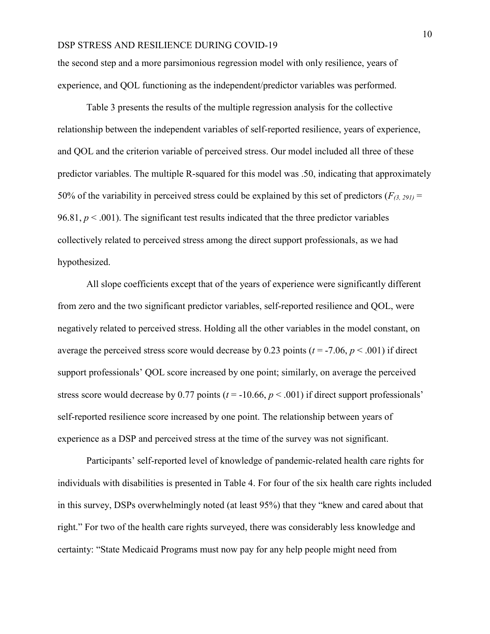the second step and a more parsimonious regression model with only resilience, years of experience, and QOL functioning as the independent/predictor variables was performed.

Table 3 presents the results of the multiple regression analysis for the collective relationship between the independent variables of self-reported resilience, years of experience, and QOL and the criterion variable of perceived stress. Our model included all three of these predictor variables. The multiple R-squared for this model was .50, indicating that approximately 50% of the variability in perceived stress could be explained by this set of predictors  $(F_{(3, 291)} =$ 96.81,  $p < .001$ ). The significant test results indicated that the three predictor variables collectively related to perceived stress among the direct support professionals, as we had hypothesized.

All slope coefficients except that of the years of experience were significantly different from zero and the two significant predictor variables, self-reported resilience and QOL, were negatively related to perceived stress. Holding all the other variables in the model constant, on average the perceived stress score would decrease by 0.23 points ( $t = -7.06$ ,  $p < .001$ ) if direct support professionals' QOL score increased by one point; similarly, on average the perceived stress score would decrease by 0.77 points ( $t = -10.66$ ,  $p < .001$ ) if direct support professionals' self-reported resilience score increased by one point. The relationship between years of experience as a DSP and perceived stress at the time of the survey was not significant.

Participants' self-reported level of knowledge of pandemic-related health care rights for individuals with disabilities is presented in Table 4. For four of the six health care rights included in this survey, DSPs overwhelmingly noted (at least 95%) that they "knew and cared about that right." For two of the health care rights surveyed, there was considerably less knowledge and certainty: "State Medicaid Programs must now pay for any help people might need from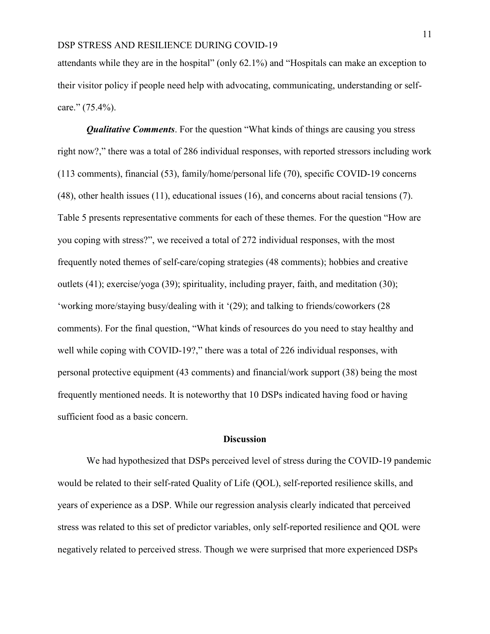attendants while they are in the hospital" (only 62.1%) and "Hospitals can make an exception to their visitor policy if people need help with advocating, communicating, understanding or selfcare." (75.4%).

*Qualitative Comments*. For the question "What kinds of things are causing you stress right now?," there was a total of 286 individual responses, with reported stressors including work (113 comments), financial (53), family/home/personal life (70), specific COVID-19 concerns (48), other health issues (11), educational issues (16), and concerns about racial tensions (7). Table 5 presents representative comments for each of these themes. For the question "How are you coping with stress?", we received a total of 272 individual responses, with the most frequently noted themes of self-care/coping strategies (48 comments); hobbies and creative outlets (41); exercise/yoga (39); spirituality, including prayer, faith, and meditation (30); 'working more/staying busy/dealing with it '(29); and talking to friends/coworkers (28 comments). For the final question, "What kinds of resources do you need to stay healthy and well while coping with COVID-19?," there was a total of 226 individual responses, with personal protective equipment (43 comments) and financial/work support (38) being the most frequently mentioned needs. It is noteworthy that 10 DSPs indicated having food or having sufficient food as a basic concern.

#### **Discussion**

We had hypothesized that DSPs perceived level of stress during the COVID-19 pandemic would be related to their self-rated Quality of Life (QOL), self-reported resilience skills, and years of experience as a DSP. While our regression analysis clearly indicated that perceived stress was related to this set of predictor variables, only self-reported resilience and QOL were negatively related to perceived stress. Though we were surprised that more experienced DSPs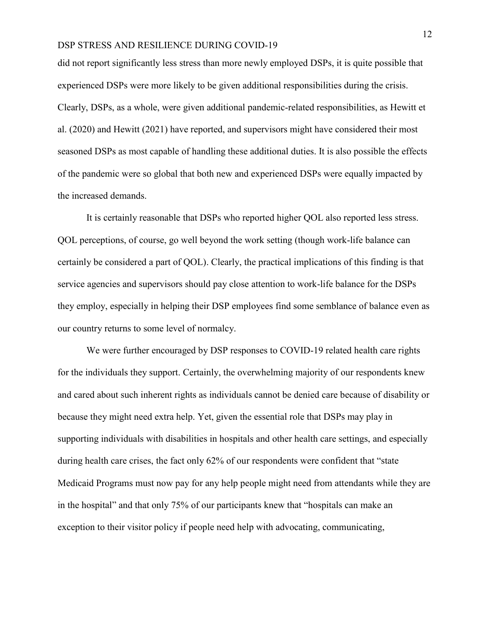did not report significantly less stress than more newly employed DSPs, it is quite possible that experienced DSPs were more likely to be given additional responsibilities during the crisis. Clearly, DSPs, as a whole, were given additional pandemic-related responsibilities, as Hewitt et al. (2020) and Hewitt (2021) have reported, and supervisors might have considered their most seasoned DSPs as most capable of handling these additional duties. It is also possible the effects of the pandemic were so global that both new and experienced DSPs were equally impacted by the increased demands.

It is certainly reasonable that DSPs who reported higher QOL also reported less stress. QOL perceptions, of course, go well beyond the work setting (though work-life balance can certainly be considered a part of QOL). Clearly, the practical implications of this finding is that service agencies and supervisors should pay close attention to work-life balance for the DSPs they employ, especially in helping their DSP employees find some semblance of balance even as our country returns to some level of normalcy.

We were further encouraged by DSP responses to COVID-19 related health care rights for the individuals they support. Certainly, the overwhelming majority of our respondents knew and cared about such inherent rights as individuals cannot be denied care because of disability or because they might need extra help. Yet, given the essential role that DSPs may play in supporting individuals with disabilities in hospitals and other health care settings, and especially during health care crises, the fact only 62% of our respondents were confident that "state Medicaid Programs must now pay for any help people might need from attendants while they are in the hospital" and that only 75% of our participants knew that "hospitals can make an exception to their visitor policy if people need help with advocating, communicating,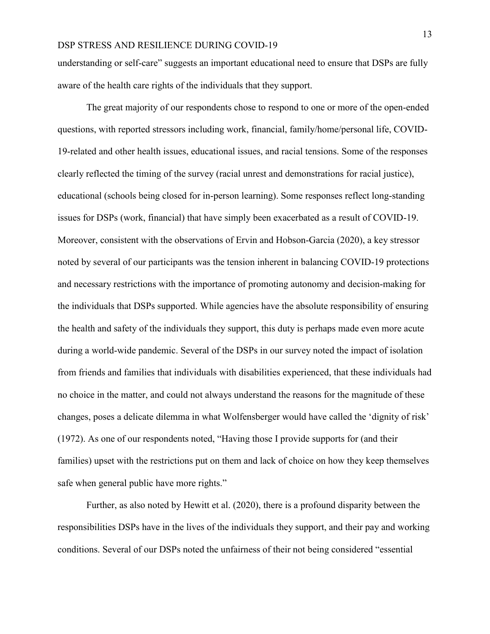understanding or self-care" suggests an important educational need to ensure that DSPs are fully aware of the health care rights of the individuals that they support.

The great majority of our respondents chose to respond to one or more of the open-ended questions, with reported stressors including work, financial, family/home/personal life, COVID-19-related and other health issues, educational issues, and racial tensions. Some of the responses clearly reflected the timing of the survey (racial unrest and demonstrations for racial justice), educational (schools being closed for in-person learning). Some responses reflect long-standing issues for DSPs (work, financial) that have simply been exacerbated as a result of COVID-19. Moreover, consistent with the observations of Ervin and Hobson-Garcia (2020), a key stressor noted by several of our participants was the tension inherent in balancing COVID-19 protections and necessary restrictions with the importance of promoting autonomy and decision-making for the individuals that DSPs supported. While agencies have the absolute responsibility of ensuring the health and safety of the individuals they support, this duty is perhaps made even more acute during a world-wide pandemic. Several of the DSPs in our survey noted the impact of isolation from friends and families that individuals with disabilities experienced, that these individuals had no choice in the matter, and could not always understand the reasons for the magnitude of these changes, poses a delicate dilemma in what Wolfensberger would have called the 'dignity of risk' (1972). As one of our respondents noted, "Having those I provide supports for (and their families) upset with the restrictions put on them and lack of choice on how they keep themselves safe when general public have more rights."

Further, as also noted by Hewitt et al. (2020), there is a profound disparity between the responsibilities DSPs have in the lives of the individuals they support, and their pay and working conditions. Several of our DSPs noted the unfairness of their not being considered "essential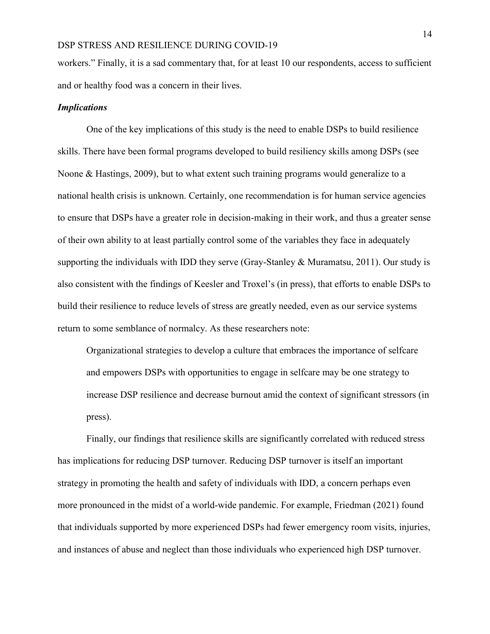workers." Finally, it is a sad commentary that, for at least 10 our respondents, access to sufficient and or healthy food was a concern in their lives.

#### *Implications*

One of the key implications of this study is the need to enable DSPs to build resilience skills. There have been formal programs developed to build resiliency skills among DSPs (see Noone & Hastings, 2009), but to what extent such training programs would generalize to a national health crisis is unknown. Certainly, one recommendation is for human service agencies to ensure that DSPs have a greater role in decision-making in their work, and thus a greater sense of their own ability to at least partially control some of the variables they face in adequately supporting the individuals with IDD they serve (Gray-Stanley & Muramatsu, 2011). Our study is also consistent with the findings of Keesler and Troxel's (in press), that efforts to enable DSPs to build their resilience to reduce levels of stress are greatly needed, even as our service systems return to some semblance of normalcy. As these researchers note:

Organizational strategies to develop a culture that embraces the importance of selfcare and empowers DSPs with opportunities to engage in selfcare may be one strategy to increase DSP resilience and decrease burnout amid the context of significant stressors (in press).

Finally, our findings that resilience skills are significantly correlated with reduced stress has implications for reducing DSP turnover. Reducing DSP turnover is itself an important strategy in promoting the health and safety of individuals with IDD, a concern perhaps even more pronounced in the midst of a world-wide pandemic. For example, Friedman (2021) found that individuals supported by more experienced DSPs had fewer emergency room visits, injuries, and instances of abuse and neglect than those individuals who experienced high DSP turnover.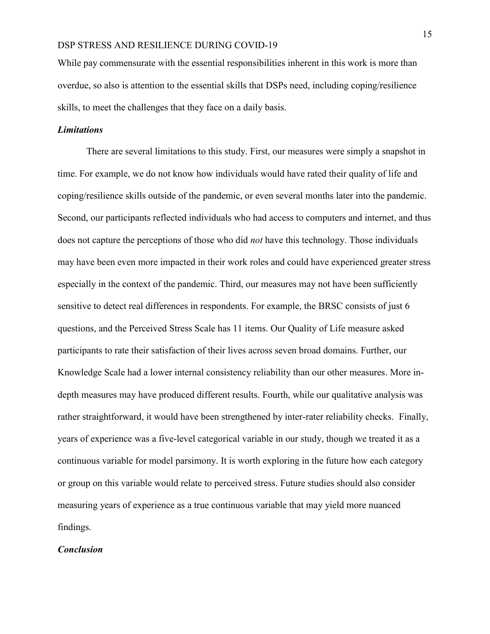While pay commensurate with the essential responsibilities inherent in this work is more than overdue, so also is attention to the essential skills that DSPs need, including coping/resilience skills, to meet the challenges that they face on a daily basis.

#### *Limitations*

There are several limitations to this study. First, our measures were simply a snapshot in time. For example, we do not know how individuals would have rated their quality of life and coping/resilience skills outside of the pandemic, or even several months later into the pandemic. Second, our participants reflected individuals who had access to computers and internet, and thus does not capture the perceptions of those who did *not* have this technology. Those individuals may have been even more impacted in their work roles and could have experienced greater stress especially in the context of the pandemic. Third, our measures may not have been sufficiently sensitive to detect real differences in respondents. For example, the BRSC consists of just 6 questions, and the Perceived Stress Scale has 11 items. Our Quality of Life measure asked participants to rate their satisfaction of their lives across seven broad domains. Further, our Knowledge Scale had a lower internal consistency reliability than our other measures. More indepth measures may have produced different results. Fourth, while our qualitative analysis was rather straightforward, it would have been strengthened by inter-rater reliability checks. Finally, years of experience was a five-level categorical variable in our study, though we treated it as a continuous variable for model parsimony. It is worth exploring in the future how each category or group on this variable would relate to perceived stress. Future studies should also consider measuring years of experience as a true continuous variable that may yield more nuanced findings.

#### *Conclusion*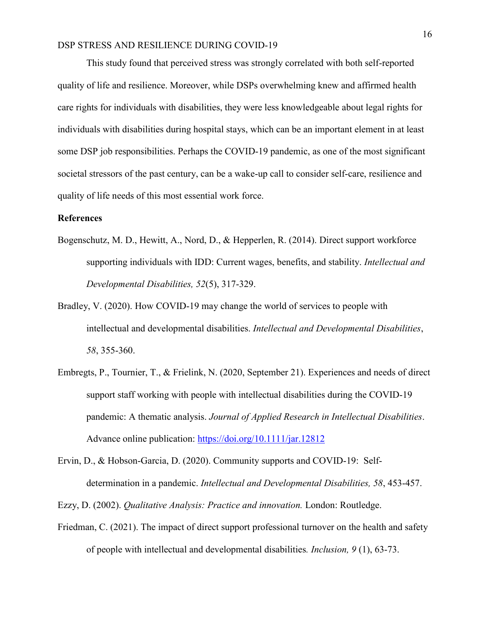This study found that perceived stress was strongly correlated with both self-reported quality of life and resilience. Moreover, while DSPs overwhelming knew and affirmed health care rights for individuals with disabilities, they were less knowledgeable about legal rights for individuals with disabilities during hospital stays, which can be an important element in at least some DSP job responsibilities. Perhaps the COVID-19 pandemic, as one of the most significant societal stressors of the past century, can be a wake-up call to consider self-care, resilience and quality of life needs of this most essential work force.

#### **References**

- Bogenschutz, M. D., Hewitt, A., Nord, D., & Hepperlen, R. (2014). Direct support workforce supporting individuals with IDD: Current wages, benefits, and stability. *Intellectual and Developmental Disabilities, 52*(5), 317-329.
- Bradley, V. (2020). How COVID-19 may change the world of services to people with intellectual and developmental disabilities. *Intellectual and Developmental Disabilities*, *58*, 355-360.
- Embregts, P., Tournier, T., & Frielink, N. (2020, September 21). Experiences and needs of direct support staff working with people with intellectual disabilities during the COVID-19 pandemic: A thematic analysis. *Journal of Applied Research in Intellectual Disabilities*. Advance online publication:<https://doi.org/10.1111/jar.12812>
- Ervin, D., & Hobson-Garcia, D. (2020). Community supports and COVID-19: Selfdetermination in a pandemic. *Intellectual and Developmental Disabilities, 58*, 453-457.

Ezzy, D. (2002). *Qualitative Analysis: Practice and innovation.* London: Routledge.

Friedman, C. (2021). The impact of direct support professional turnover on the health and safety of people with intellectual and developmental disabilities*. Inclusion, 9* (1), 63-73.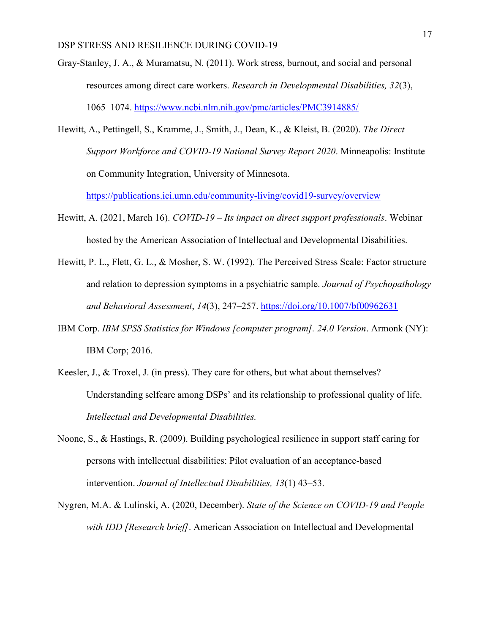- Gray-Stanley, J. A., & Muramatsu, N. (2011). Work stress, burnout, and social and personal resources among direct care workers. *Research in Developmental Disabilities, 32*(3), 1065–1074.<https://www.ncbi.nlm.nih.gov/pmc/articles/PMC3914885/>
- Hewitt, A., Pettingell, S., Kramme, J., Smith, J., Dean, K., & Kleist, B. (2020). *The Direct Support Workforce and COVID-19 National Survey Report 2020*. Minneapolis: Institute on Community Integration, University of Minnesota.

<https://publications.ici.umn.edu/community-living/covid19-survey/overview>

- Hewitt, A. (2021, March 16). *COVID-19 – Its impact on direct support professionals*. Webinar hosted by the American Association of Intellectual and Developmental Disabilities.
- Hewitt, P. L., Flett, G. L., & Mosher, S. W. (1992). The Perceived Stress Scale: Factor structure and relation to depression symptoms in a psychiatric sample. *Journal of Psychopathology and Behavioral Assessment*, *14*(3), 247–257.<https://doi.org/10.1007/bf00962631>
- IBM Corp. *IBM SPSS Statistics for Windows [computer program]. 24.0 Version*. Armonk (NY): IBM Corp; 2016.
- Keesler, J., & Troxel, J. (in press). They care for others, but what about themselves? Understanding selfcare among DSPs' and its relationship to professional quality of life. *Intellectual and Developmental Disabilities.*
- Noone, S., & Hastings, R. (2009). Building psychological resilience in support staff caring for persons with intellectual disabilities: Pilot evaluation of an acceptance-based intervention. *Journal of Intellectual Disabilities, 13*(1) 43‒53.
- Nygren, M.A. & Lulinski, A. (2020, December). *State of the Science on COVID-19 and People with IDD [Research brief]*. American Association on Intellectual and Developmental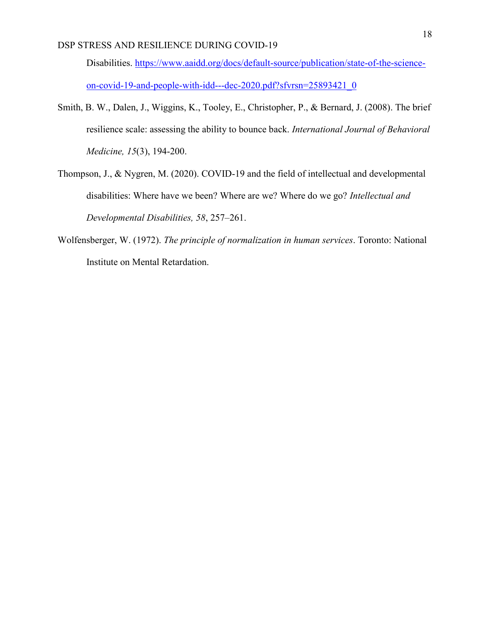Disabilities. [https://www.aaidd.org/docs/default-source/publication/state-of-the-science](https://www.aaidd.org/docs/default-source/publication/state-of-the-science-on-covid-19-and-people-with-idd---dec-2020.pdf?sfvrsn=25893421_0)[on-covid-19-and-people-with-idd---dec-2020.pdf?sfvrsn=25893421\\_0](https://www.aaidd.org/docs/default-source/publication/state-of-the-science-on-covid-19-and-people-with-idd---dec-2020.pdf?sfvrsn=25893421_0)

- Smith, B. W., Dalen, J., Wiggins, K., Tooley, E., Christopher, P., & Bernard, J. (2008). The brief resilience scale: assessing the ability to bounce back. *International Journal of Behavioral Medicine, 15*(3), 194-200.
- Thompson, J., & Nygren, M. (2020). COVID-19 and the field of intellectual and developmental disabilities: Where have we been? Where are we? Where do we go? *Intellectual and Developmental Disabilities, 58*, 257–261.
- Wolfensberger, W. (1972). *The principle of normalization in human services*. Toronto: National Institute on Mental Retardation.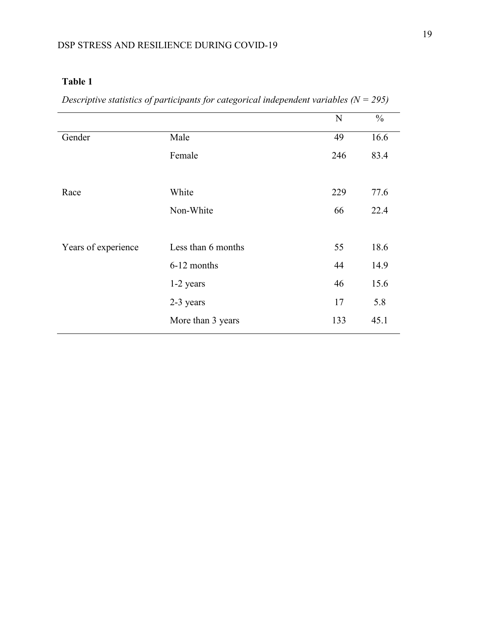|                     |                    | N   | $\frac{0}{0}$ |
|---------------------|--------------------|-----|---------------|
| Gender              | Male               | 49  | 16.6          |
|                     | Female             | 246 | 83.4          |
|                     |                    |     |               |
| Race                | White              | 229 | 77.6          |
|                     | Non-White          | 66  | 22.4          |
|                     |                    |     |               |
| Years of experience | Less than 6 months | 55  | 18.6          |
|                     | 6-12 months        | 44  | 14.9          |
|                     | 1-2 years          | 46  | 15.6          |
|                     | 2-3 years          | 17  | 5.8           |
|                     | More than 3 years  | 133 | 45.1          |

*Descriptive statistics of participants for categorical independent variables (N = 295)*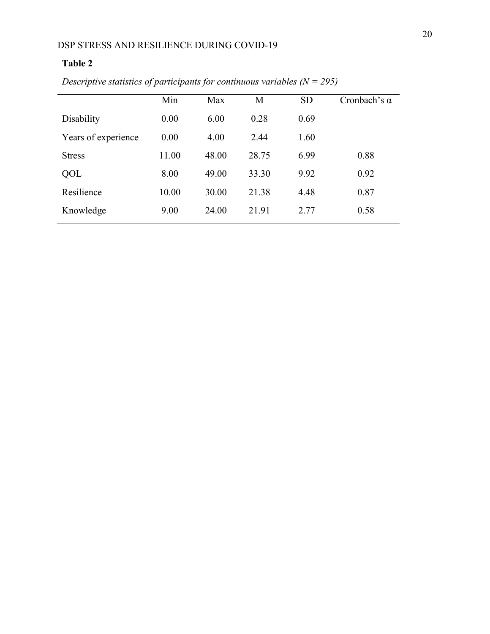|                     | Min   | Max   | М     | <b>SD</b> | Cronbach's $\alpha$ |
|---------------------|-------|-------|-------|-----------|---------------------|
| Disability          | 0.00  | 6.00  | 0.28  | 0.69      |                     |
| Years of experience | 0.00  | 4.00  | 2.44  | 1.60      |                     |
| <b>Stress</b>       | 11.00 | 48.00 | 28.75 | 6.99      | 0.88                |
| QOL                 | 8.00  | 49.00 | 33.30 | 9.92      | 0.92                |
| Resilience          | 10.00 | 30.00 | 21.38 | 4.48      | 0.87                |
| Knowledge           | 9.00  | 24.00 | 21.91 | 2.77      | 0.58                |
|                     |       |       |       |           |                     |

*Descriptive statistics of participants for continuous variables (N = 295)*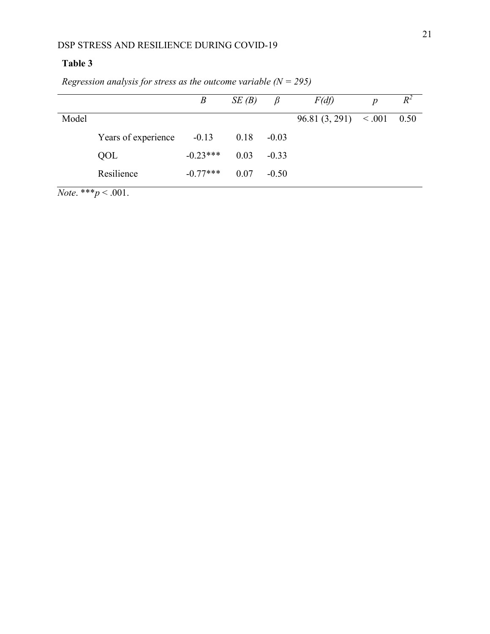|       |                     | $\boldsymbol{B}$ | SE(B) | $\beta$ | F(df)                 | $\boldsymbol{p}$ | $R^2$ |
|-------|---------------------|------------------|-------|---------|-----------------------|------------------|-------|
| Model |                     |                  |       |         | 96.81(3, 291) < 0.001 |                  | 0.50  |
|       | Years of experience | $-0.13$          | 0.18  | $-0.03$ |                       |                  |       |
|       | QOL                 | $-0.23***$       | 0.03  | $-0.33$ |                       |                  |       |
|       | Resilience          | $-0.77***$       | 0.07  | $-0.50$ |                       |                  |       |

*Regression analysis for stress as the outcome variable (N = 295)*

*Note*. \*\*\**p* < .001.

 $\overline{a}$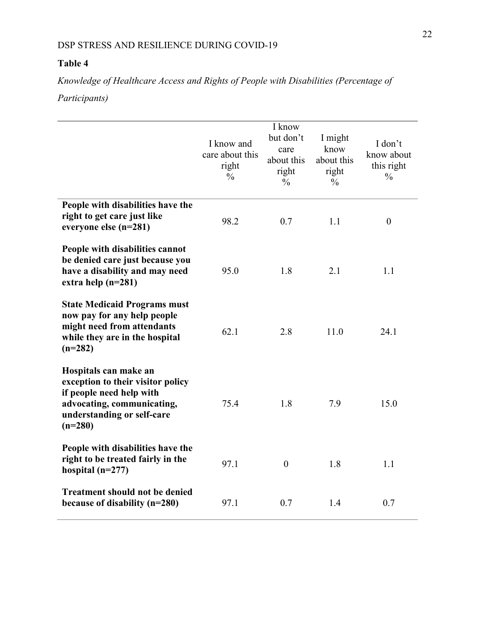*Knowledge of Healthcare Access and Rights of People with Disabilities (Percentage of Participants)*

|                                                                                                                                                                 | I know and<br>care about this<br>right<br>$\frac{0}{0}$ | I know<br>but don't<br>care<br>about this<br>right<br>$\frac{0}{0}$ | I might<br>know<br>about this<br>right<br>$\frac{0}{0}$ | I don't<br>know about<br>this right<br>$\frac{0}{0}$ |
|-----------------------------------------------------------------------------------------------------------------------------------------------------------------|---------------------------------------------------------|---------------------------------------------------------------------|---------------------------------------------------------|------------------------------------------------------|
| People with disabilities have the<br>right to get care just like<br>everyone else (n=281)                                                                       | 98.2                                                    | 0.7                                                                 | 1.1                                                     | $\boldsymbol{0}$                                     |
| People with disabilities cannot<br>be denied care just because you<br>have a disability and may need<br>extra help $(n=281)$                                    | 95.0                                                    | 1.8                                                                 | 2.1                                                     | 1.1                                                  |
| <b>State Medicaid Programs must</b><br>now pay for any help people<br>might need from attendants<br>while they are in the hospital<br>$(n=282)$                 | 62.1                                                    | 2.8                                                                 | 11.0                                                    | 24.1                                                 |
| Hospitals can make an<br>exception to their visitor policy<br>if people need help with<br>advocating, communicating,<br>understanding or self-care<br>$(n=280)$ | 75.4                                                    | 1.8                                                                 | 7.9                                                     | 15.0                                                 |
| People with disabilities have the<br>right to be treated fairly in the<br>hospital $(n=277)$                                                                    | 97.1                                                    | $\mathbf{0}$                                                        | 1.8                                                     | 1.1                                                  |
| <b>Treatment should not be denied</b><br>because of disability (n=280)                                                                                          | 97.1                                                    | 0.7                                                                 | 1.4                                                     | 0.7                                                  |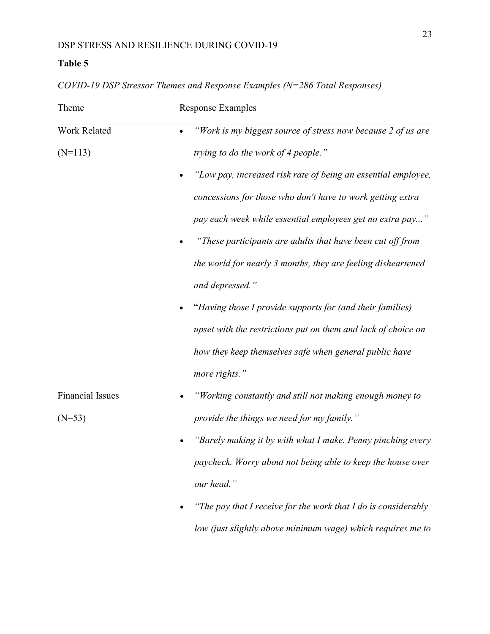| Theme                   | <b>Response Examples</b>                                       |
|-------------------------|----------------------------------------------------------------|
| Work Related            | "Work is my biggest source of stress now because 2 of us are   |
| $(N=113)$               | trying to do the work of 4 people."                            |
|                         | "Low pay, increased risk rate of being an essential employee,  |
|                         | concessions for those who don't have to work getting extra     |
|                         | pay each week while essential employees get no extra pay"      |
|                         | "These participants are adults that have been cut off from     |
|                         | the world for nearly 3 months, they are feeling disheartened   |
|                         | and depressed."                                                |
|                         | "Having those I provide supports for (and their families)      |
|                         | upset with the restrictions put on them and lack of choice on  |
|                         | how they keep themselves safe when general public have         |
|                         | more rights."                                                  |
| <b>Financial Issues</b> | "Working constantly and still not making enough money to       |
| $(N=53)$                | provide the things we need for my family."                     |
|                         | "Barely making it by with what I make. Penny pinching every    |
|                         | paycheck. Worry about not being able to keep the house over    |
|                         | our head."                                                     |
|                         | "The pay that I receive for the work that I do is considerably |
|                         | low (just slightly above minimum wage) which requires me to    |

*COVID-19 DSP Stressor Themes and Response Examples (N=286 Total Responses)*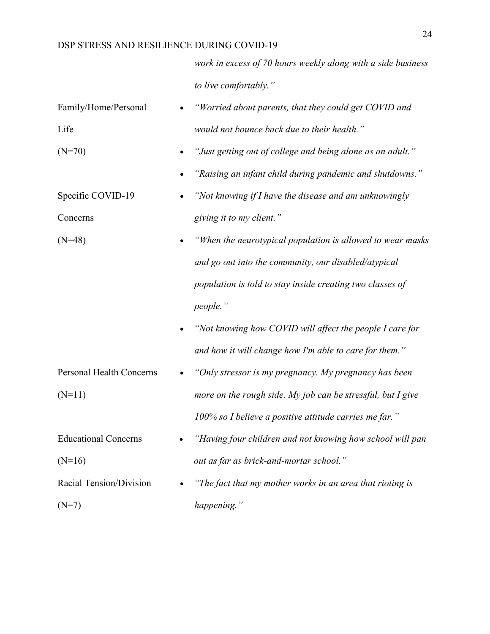*work in excess of 70 hours weekly along with a side business to live comfortably."*

| Family/Home/Personal            | "Worried about parents, that they could get COVID and       |
|---------------------------------|-------------------------------------------------------------|
| Life                            | would not bounce back due to their health."                 |
| $(N=70)$                        | "Just getting out of college and being alone as an adult."  |
|                                 | "Raising an infant child during pandemic and shutdowns."    |
| Specific COVID-19               | "Not knowing if I have the disease and am unknowingly       |
| Concerns                        | giving it to my client."                                    |
| $(N=48)$                        | "When the neurotypical population is allowed to wear masks  |
|                                 | and go out into the community, our disabled/atypical        |
|                                 | population is told to stay inside creating two classes of   |
|                                 | people."                                                    |
|                                 | "Not knowing how COVID will affect the people I care for    |
|                                 | and how it will change how I'm able to care for them."      |
| <b>Personal Health Concerns</b> | "Only stressor is my pregnancy. My pregnancy has been       |
| $(N=11)$                        | more on the rough side. My job can be stressful, but I give |
|                                 | 100% so I believe a positive attitude carries me far."      |
| <b>Educational Concerns</b>     | "Having four children and not knowing how school will pan   |
| $(N=16)$                        | out as far as brick-and-mortar school."                     |
| Racial Tension/Division         | "The fact that my mother works in an area that rioting is   |
| $(N=7)$                         | happening."                                                 |